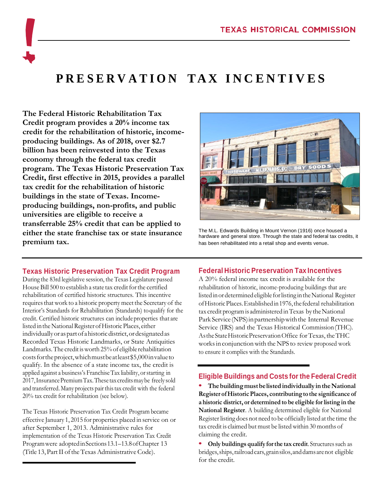# **P R E S E R V A T I O N T A X I N C E N T I V E S**

**The Federal Historic Rehabilitation Tax Credit program provides a 20% income tax credit for the rehabilitation of historic, incomeproducing buildings. As of 2018, over \$2.7 billion has been reinvested into the Texas economy through the federal tax credit program. The Texas Historic Preservation Tax Credit, first effective in 2015, provides a parallel tax credit for the rehabilitation of historic buildings in the state of Texas. Incomeproducing buildings, non-profits, and public universities are eligible to receive a transferrable 25% credit that can be applied to either the state franchise tax or state insurance premium tax.**

The M.L. Edwards Building in Mount Vernon (1916) once housed a hardware and general store. Through the state and federal tax credits, it has been rehabilitated into a retail shop and events venue.

### **Texas Historic Preservation Tax Credit Program**

During the 83rd legislative session, the Texas Legislature passed House Bill 500 to establish a state tax credit for the certified rehabilitation of certified historic structures. This incentive requires that work to a historic property meet the Secretary of the Interior's Standards for Rehabilitation (Standards) toqualify for the credit. Certified historic structures can includeproperties that are listed in the National Register of Historic Places, either individually or as part of a historic district, or designated as Recorded Texas Historic Landmarks, or State Antiquities Landmarks. The credit isworth 25% of eligible rehabilitation costsfortheproject,whichmustbeatleast\$5,000invalueto qualify. In the absence of a state income tax, the credit is applied against a business's FranchiseTax liability, orstarting in 2017, Insurance Premium Tax. These tax credits may be freely sold and transferred.Manyprojects pairthistax credit with the federal 20% tax credit for rehabilitation (see below).

The Texas Historic Preservation Tax Credit Program became effective January 1, 2015 for properties placed in service on or after September 1, 2013. Administrative rules for implementation of the Texas Historic Preservation Tax Credit Programwere adoptedinSections13.1–13.8ofChapter 13 (Title 13, Part II of the Texas Administrative Code).

### **Federal Historic Preservation Tax Incentives**

A 20% federal income tax credit is available for the rehabilitation of historic, income-producing buildings that are listed in or determined eligible for listing in the National Register ofHistoricPlaces.Establishedin1976,thefederal rehabilitation tax credit program is administered in Texas by the National Park Service (NPS) in partnership with the Internal Revenue Service (IRS) and the Texas Historical Commission(THC). AstheStateHistoricPreservationOffice forTexas, theTHC works in conjunction with the NPS to review proposed work to ensure it complies with the Standards.

### **Eligible Buildings and Costs for the Federal Credit**

**•** The building must be listed individually in the National **Register ofHistoricPlaces, contributing to the significance of a historic district, or determined to be eligible for listing in the National Register**. A building determined eligible for National Register listing does not need to be officially listed at the time the tax credit is claimed but must be listedwithin 30 months of claiming the credit.

**Only** buildings qualify for the tax credit. Structures such as bridges,ships,railroadcars,grainsilos,anddamsarenot eligible for the credit.